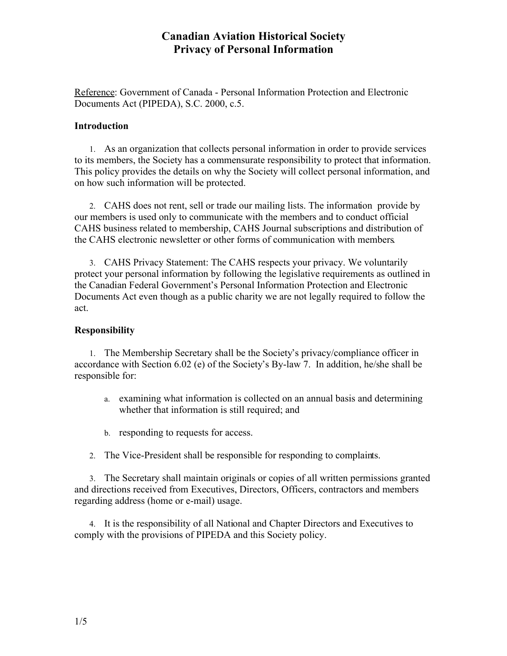Reference: Government of Canada - Personal Information Protection and Electronic Documents Act (PIPEDA), S.C. 2000, c.5.

#### **Introduction**

1. As an organization that collects personal information in order to provide services to its members, the Society has a commensurate responsibility to protect that information. This policy provides the details on why the Society will collect personal information, and on how such information will be protected.

2. CAHS does not rent, sell or trade our mailing lists. The information provide by our members is used only to communicate with the members and to conduct official CAHS business related to membership, CAHS Journal subscriptions and distribution of the CAHS electronic newsletter or other forms of communication with members.

3. CAHS Privacy Statement: The CAHS respects your privacy. We voluntarily protect your personal information by following the legislative requirements as outlined in the Canadian Federal Government's Personal Information Protection and Electronic Documents Act even though as a public charity we are not legally required to follow the act.

### **Responsibility**

1. The Membership Secretary shall be the Society's privacy/compliance officer in accordance with Section 6.02 (e) of the Society's By-law 7. In addition, he/she shall be responsible for:

- a. examining what information is collected on an annual basis and determining whether that information is still required; and
- b. responding to requests for access.
- 2. The Vice-President shall be responsible for responding to complaints.

3. The Secretary shall maintain originals or copies of all written permissions granted and directions received from Executives, Directors, Officers, contractors and members regarding address (home or e-mail) usage.

4. It is the responsibility of all National and Chapter Directors and Executives to comply with the provisions of PIPEDA and this Society policy.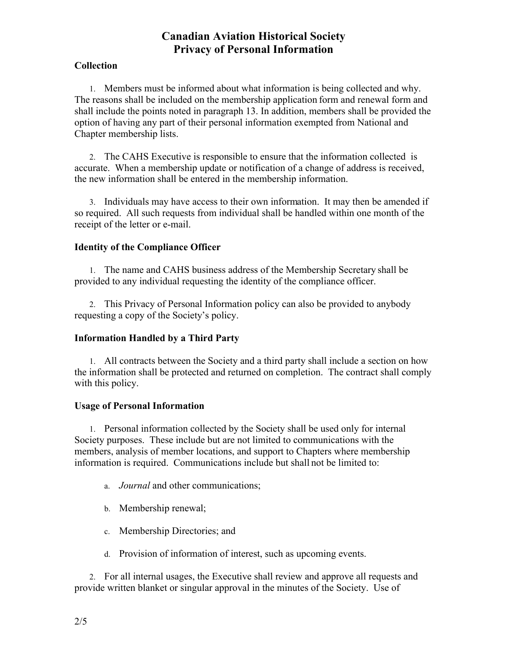## **Collection**

1. Members must be informed about what information is being collected and why. The reasons shall be included on the membership application form and renewal form and shall include the points noted in paragraph 13. In addition, members shall be provided the option of having any part of their personal information exempted from National and Chapter membership lists.

2. The CAHS Executive is responsible to ensure that the information collected is accurate. When a membership update or notification of a change of address is received, the new information shall be entered in the membership information.

3. Individuals may have access to their own information. It may then be amended if so required. All such requests from individual shall be handled within one month of the receipt of the letter or e-mail.

## **Identity of the Compliance Officer**

1. The name and CAHS business address of the Membership Secretary shall be provided to any individual requesting the identity of the compliance officer.

2. This Privacy of Personal Information policy can also be provided to anybody requesting a copy of the Society's policy.

## **Information Handled by a Third Party**

1. All contracts between the Society and a third party shall include a section on how the information shall be protected and returned on completion. The contract shall comply with this policy.

#### **Usage of Personal Information**

1. Personal information collected by the Society shall be used only for internal Society purposes. These include but are not limited to communications with the members, analysis of member locations, and support to Chapters where membership information is required. Communications include but shall not be limited to:

- a. *Journal* and other communications;
- b. Membership renewal;
- c. Membership Directories; and
- d. Provision of information of interest, such as upcoming events.

2. For all internal usages, the Executive shall review and approve all requests and provide written blanket or singular approval in the minutes of the Society. Use of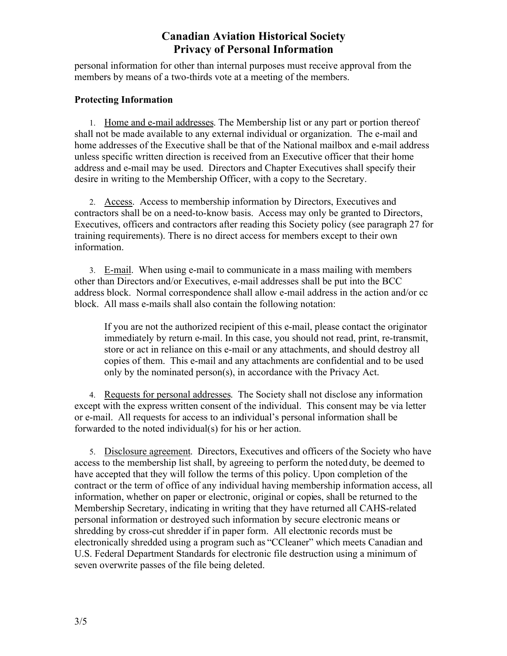personal information for other than internal purposes must receive approval from the members by means of a two-thirds vote at a meeting of the members.

### **Protecting Information**

1. Home and e-mail addresses. The Membership list or any part or portion thereof shall not be made available to any external individual or organization. The e-mail and home addresses of the Executive shall be that of the National mailbox and e-mail address unless specific written direction is received from an Executive officer that their home address and e-mail may be used. Directors and Chapter Executives shall specify their desire in writing to the Membership Officer, with a copy to the Secretary.

2. Access. Access to membership information by Directors, Executives and contractors shall be on a need-to-know basis. Access may only be granted to Directors, Executives, officers and contractors after reading this Society policy (see paragraph 27 for training requirements). There is no direct access for members except to their own information.

3. E-mail. When using e-mail to communicate in a mass mailing with members other than Directors and/or Executives, e-mail addresses shall be put into the BCC address block. Normal correspondence shall allow e-mail address in the action and/or cc block. All mass e-mails shall also contain the following notation:

If you are not the authorized recipient of this e-mail, please contact the originator immediately by return e-mail. In this case, you should not read, print, re-transmit, store or act in reliance on this e-mail or any attachments, and should destroy all copies of them. This e-mail and any attachments are confidential and to be used only by the nominated person(s), in accordance with the Privacy Act.

4. Requests for personal addresses. The Society shall not disclose any information except with the express written consent of the individual. This consent may be via letter or e-mail. All requests for access to an individual's personal information shall be forwarded to the noted individual(s) for his or her action.

5. Disclosure agreement. Directors, Executives and officers of the Society who have access to the membership list shall, by agreeing to perform the noted duty, be deemed to have accepted that they will follow the terms of this policy. Upon completion of the contract or the term of office of any individual having membership information access, all information, whether on paper or electronic, original or copies, shall be returned to the Membership Secretary, indicating in writing that they have returned all CAHS-related personal information or destroyed such information by secure electronic means or shredding by cross-cut shredder if in paper form. All electronic records must be electronically shredded using a program such as "CCleaner" which meets Canadian and U.S. Federal Department Standards for electronic file destruction using a minimum of seven overwrite passes of the file being deleted.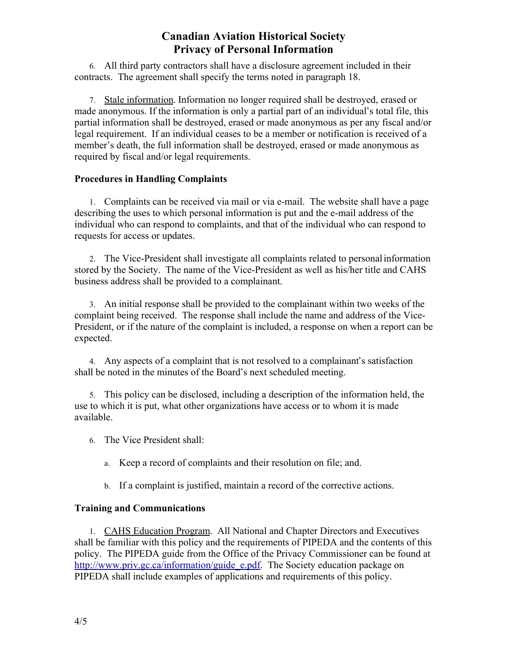6. All third party contractors shall have a disclosure agreement included in their contracts. The agreement shall specify the terms noted in paragraph 18.

7. Stale information. Information no longer required shall be destroyed, erased or made anonymous. If the information is only a partial part of an individual's total file, this partial information shall be destroyed, erased or made anonymous as per any fiscal and/or legal requirement. If an individual ceases to be a member or notification is received of a member's death, the full information shall be destroyed, erased or made anonymous as required by fiscal and/or legal requirements.

## **Procedures in Handling Complaints**

1. Complaints can be received via mail or via e-mail. The website shall have a page describing the uses to which personal information is put and the e-mail address of the individual who can respond to complaints, and that of the individual who can respond to requests for access or updates.

2. The Vice-President shall investigate all complaints related to personal information stored by the Society. The name of the Vice-President as well as his/her title and CAHS business address shall be provided to a complainant.

3. An initial response shall be provided to the complainant within two weeks of the complaint being received. The response shall include the name and address of the Vice-President, or if the nature of the complaint is included, a response on when a report can be expected.

4. Any aspects of a complaint that is not resolved to a complainant's satisfaction shall be noted in the minutes of the Board's next scheduled meeting.

5. This policy can be disclosed, including a description of the information held, the use to which it is put, what other organizations have access or to whom it is made available.

6. The Vice President shall:

a. Keep a record of complaints and their resolution on file; and.

b. If a complaint is justified, maintain a record of the corrective actions.

## **Training and Communications**

1. CAHS Education Program. All National and Chapter Directors and Executives shall be familiar with this policy and the requirements of PIPEDA and the contents of this policy. The PIPEDA guide from the Office of the Privacy Commissioner can be found at [http://www.priv.gc.ca/information/guide\\_e.pdf](http://www.priv.gc.ca/information/guide_e.pdf). The Society education package on PIPEDA shall include examples of applications and requirements of this policy.